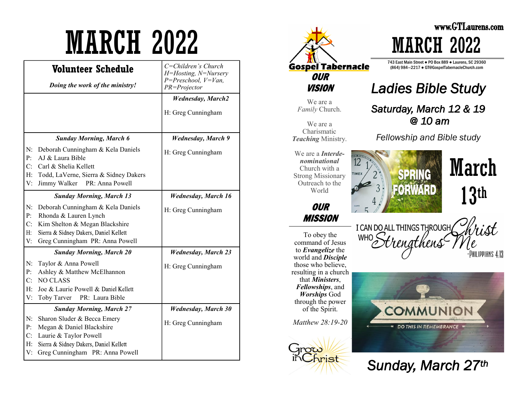|          | Volunteer Schedule                                                       | C=Children's Church<br>H=Hosting, N=Nursery |
|----------|--------------------------------------------------------------------------|---------------------------------------------|
|          | Doing the work of the ministry!                                          | $P = Preschool, V=Van,$<br>PR=Projector     |
|          |                                                                          | <b>Wednesday</b> , March2                   |
|          |                                                                          | H: Greg Cunningham                          |
|          |                                                                          |                                             |
|          | <b>Sunday Morning, March 6</b>                                           | <b>Wednesday</b> , March 9                  |
| N:<br>P: | Deborah Cunningham & Kela Daniels<br>AJ & Laura Bible                    | H: Greg Cunningham                          |
| C:       | Carl & Shelia Kellett                                                    |                                             |
| H:       | Todd, LaVerne, Sierra & Sidney Dakers                                    |                                             |
| V:       | PR: Anna Powell<br>Jimmy Walker                                          |                                             |
|          | <b>Sunday Morning, March 13</b>                                          | <b>Wednesday, March 16</b>                  |
| N:       | Deborah Cunningham & Kela Daniels                                        | H: Greg Cunningham                          |
| P:       | Rhonda & Lauren Lynch                                                    |                                             |
| C:<br>H: | Kim Shelton & Megan Blackshire<br>Sierra & Sidney Dakers, Daniel Kellett |                                             |
| V:       | Greg Cunningham PR: Anna Powell                                          |                                             |
|          | <b>Sunday Morning, March 20</b>                                          | <b>Wednesday</b> , March 23                 |
|          |                                                                          | H: Greg Cunningham                          |
| N:<br>P: | Taylor & Anna Powell<br>Ashley & Matthew McElhannon                      |                                             |
| C:       | <b>NO CLASS</b>                                                          |                                             |
| H:       | Joe & Laurie Powell & Daniel Kellett                                     |                                             |
| V:       | Toby Tarver<br>PR: Laura Bible                                           |                                             |
|          | <b>Sunday Morning, March 27</b>                                          | <b>Wednesday, March 30</b>                  |
| N:       | Sharon Sluder & Becca Emery                                              |                                             |
| P:       | Megan & Daniel Blackshire                                                | H: Greg Cunningham                          |
| C:       | Laurie & Taylor Powell                                                   |                                             |
| H:       | Sierra & Sidney Dakers, Daniel Kellett                                   |                                             |
| V:       | Greg Cunningham PR: Anna Powell                                          |                                             |



*Sunday, March 27th*

13th

'rist

PHILIPPIANS 4.13